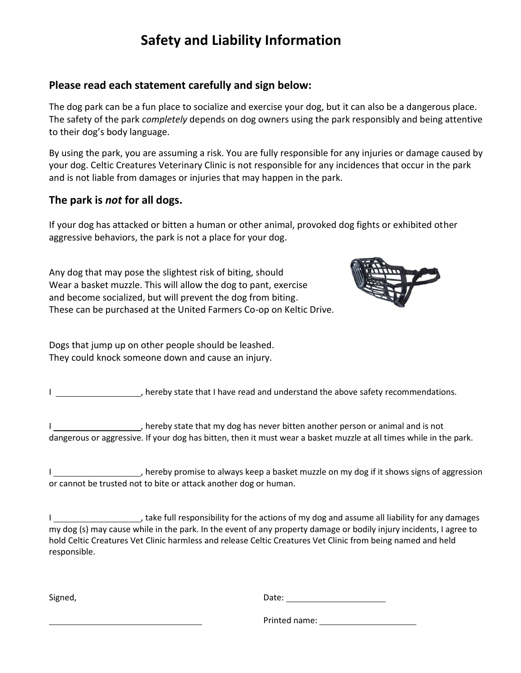## **Safety and Liability Information**

#### **Please read each statement carefully and sign below:**

The dog park can be a fun place to socialize and exercise your dog, but it can also be a dangerous place. The safety of the park *completely* depends on dog owners using the park responsibly and being attentive to their dog's body language.

By using the park, you are assuming a risk. You are fully responsible for any injuries or damage caused by your dog. Celtic Creatures Veterinary Clinic is not responsible for any incidences that occur in the park and is not liable from damages or injuries that may happen in the park.

### **The park is** *not* **for all dogs.**

If your dog has attacked or bitten a human or other animal, provoked dog fights or exhibited other aggressive behaviors, the park is not a place for your dog.

Any dog that may pose the slightest risk of biting, should Wear a basket muzzle. This will allow the dog to pant, exercise and become socialized, but will prevent the dog from biting. These can be purchased at the United Farmers Co-op on Keltic Drive.



Dogs that jump up on other people should be leashed. They could knock someone down and cause an injury.

I \_\_\_\_\_\_\_\_\_\_\_\_\_\_\_\_\_\_\_\_\_\_\_, hereby state that I have read and understand the above safety recommendations.

I \_\_\_\_\_\_\_\_\_\_\_\_\_\_\_\_\_\_\_\_\_, hereby state that my dog has never bitten another person or animal and is not dangerous or aggressive. If your dog has bitten, then it must wear a basket muzzle at all times while in the park.

I \_\_\_\_\_\_\_\_\_\_\_\_\_\_\_\_\_\_\_\_\_, hereby promise to always keep a basket muzzle on my dog if it shows signs of aggression or cannot be trusted not to bite or attack another dog or human.

I \_\_\_\_\_\_\_\_\_\_\_\_\_\_\_\_\_\_\_\_\_\_\_\_, take full responsibility for the actions of my dog and assume all liability for any damages my dog (s) may cause while in the park. In the event of any property damage or bodily injury incidents, I agree to hold Celtic Creatures Vet Clinic harmless and release Celtic Creatures Vet Clinic from being named and held responsible.

Signed,

Printed name: